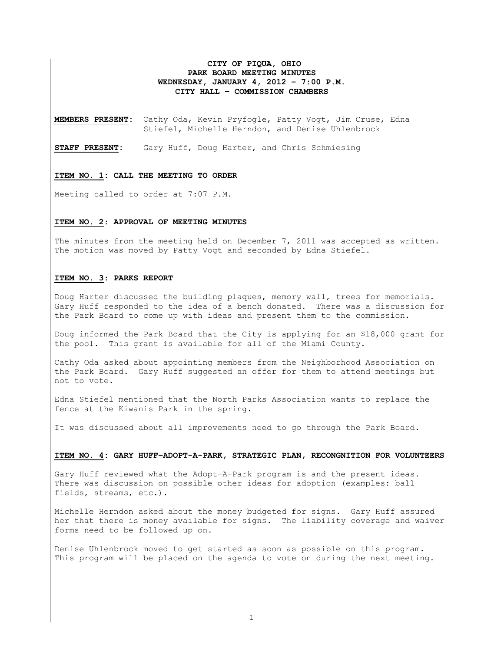# **CITY OF PIQUA, OHIO PARK BOARD MEETING MINUTES WEDNESDAY, JANUARY 4, 2012 – 7:00 P.M. CITY HALL – COMMISSION CHAMBERS**

**MEMBERS PRESENT:** Cathy Oda, Kevin Pryfogle, Patty Vogt, Jim Cruse, Edna Stiefel, Michelle Herndon, and Denise Uhlenbrock

**STAFF PRESENT:** Gary Huff, Doug Harter, and Chris Schmiesing

#### **ITEM NO. 1: CALL THE MEETING TO ORDER**

Meeting called to order at 7:07 P.M.

## **ITEM NO. 2: APPROVAL OF MEETING MINUTES**

The minutes from the meeting held on December 7, 2011 was accepted as written. The motion was moved by Patty Vogt and seconded by Edna Stiefel.

# **ITEM NO. 3: PARKS REPORT**

Doug Harter discussed the building plaques, memory wall, trees for memorials. Gary Huff responded to the idea of a bench donated. There was a discussion for the Park Board to come up with ideas and present them to the commission.

Doug informed the Park Board that the City is applying for an \$18,000 grant for the pool. This grant is available for all of the Miami County.

Cathy Oda asked about appointing members from the Neighborhood Association on the Park Board. Gary Huff suggested an offer for them to attend meetings but not to vote.

Edna Stiefel mentioned that the North Parks Association wants to replace the fence at the Kiwanis Park in the spring.

It was discussed about all improvements need to go through the Park Board.

## **ITEM NO. 4: GARY HUFF–ADOPT-A-PARK, STRATEGIC PLAN, RECONGNITION FOR VOLUNTEERS**

Gary Huff reviewed what the Adopt-A-Park program is and the present ideas. There was discussion on possible other ideas for adoption (examples: ball fields, streams, etc.).

Michelle Herndon asked about the money budgeted for signs. Gary Huff assured her that there is money available for signs. The liability coverage and waiver forms need to be followed up on.

Denise Uhlenbrock moved to get started as soon as possible on this program. This program will be placed on the agenda to vote on during the next meeting.